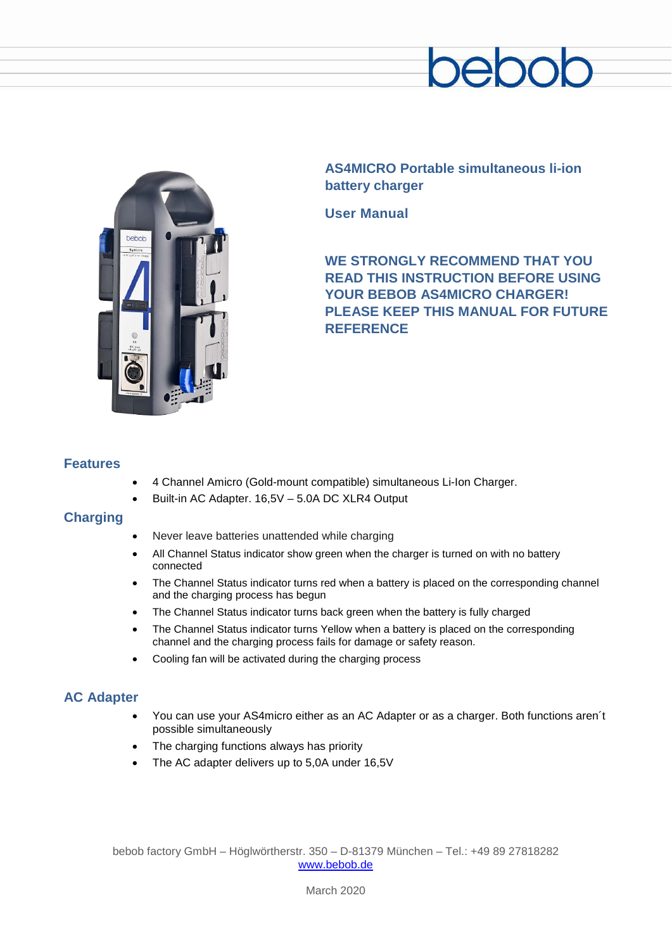



**AS4MICRO Portable simultaneous li-ion battery charger**

**User Manual**

**WE STRONGLY RECOMMEND THAT YOU READ THIS INSTRUCTION BEFORE USING YOUR BEBOB AS4MICRO CHARGER! PLEASE KEEP THIS MANUAL FOR FUTURE REFERENCE**

## **Features**

- 4 Channel Amicro (Gold-mount compatible) simultaneous Li-Ion Charger.
- Built-in AC Adapter. 16,5V 5.0A DC XLR4 Output

## **Charging**

- Never leave batteries unattended while charging
- All Channel Status indicator show green when the charger is turned on with no battery connected
- The Channel Status indicator turns red when a battery is placed on the corresponding channel and the charging process has begun
- The Channel Status indicator turns back green when the battery is fully charged
- The Channel Status indicator turns Yellow when a battery is placed on the corresponding channel and the charging process fails for damage or safety reason.
- Cooling fan will be activated during the charging process

# **AC Adapter**

- You can use your AS4micro either as an AC Adapter or as a charger. Both functions aren´t possible simultaneously
- The charging functions always has priority
- The AC adapter delivers up to 5,0A under 16,5V

bebob factory GmbH – Höglwörtherstr. 350 – D-81379 München – Tel.: +49 89 27818282 [www.bebob.de](http://www.bebob.de/)